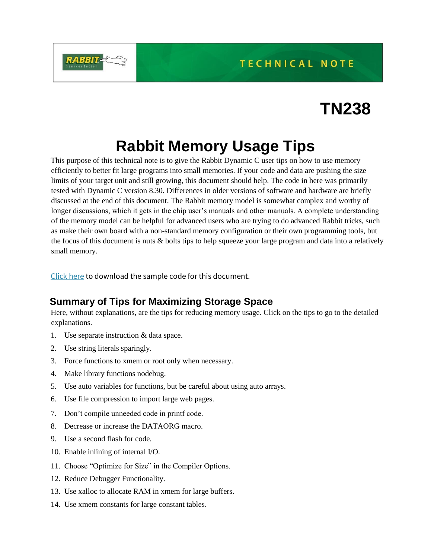

# **Rabbit Memory Usage Tips**

This purpose of this technical note is to give the Rabbit Dynamic C user tips on how to use memory efficiently to better fit large programs into small memories. If your code and data are pushing the size limits of your target unit and still growing, this document should help. The code in here was primarily tested with Dynamic C version 8.30. Differences in older versions of software and hardware are briefly discussed at the end of this document. The Rabbit memory model is somewhat complex and worthy of longer discussions, which it gets in the chip user's manuals and other manuals. A complete understanding of the memory model can be helpful for advanced users who are trying to do advanced Rabbit tricks, such as make their own board with a non-standard memory configuration or their own programming tools, but the focus of this document is nuts & bolts tips to help squeeze your large program and data into a relatively small memory.

[Click here](https://ftp1.digi.com/support/sampleapplications/022-0091_b.zip) to download the sample code for this document.

# **Summary of Tips for Maximizing Storage Space**

Here, without explanations, are the tips for reducing memory usage. Click on the tips to go to the detailed explanations.

- 1. Use separate instruction & data space.
- 2. Use string literals sparingly.
- 3. Force functions to xmem or root only when necessary.
- 4. Make library functions nodebug.
- 5. Use auto variables for functions, but be careful about using auto arrays.
- 6. Use file compression to import large web pages.
- 7. Don't compile unneeded code in printf code.
- 8. Decrease or increase the DATAORG macro.
- 9. Use a second flash for code.
- 10. Enable inlining of internal I/O.
- 11. Choose "Optimize for Size" in the Compiler Options.
- 12. Reduce Debugger Functionality.
- 13. Use xalloc to allocate RAM in xmem for large buffers.
- 14. Use xmem constants for large constant tables.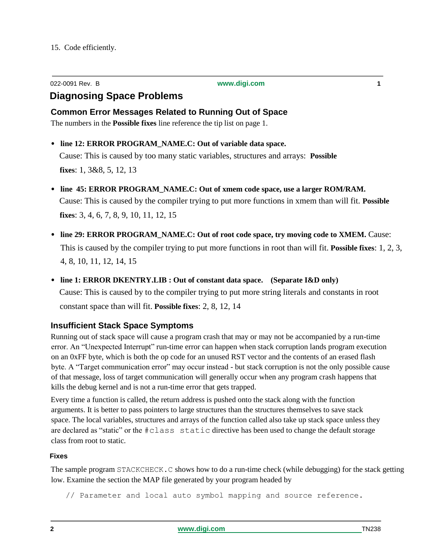| 022-0091 Rev. B | www.digi.com |
|-----------------|--------------|
|                 |              |

# **Diagnosing Space Problems**

**Common Error Messages Related to Running Out of Space** 

The numbers in the **Possible fixes** line reference the tip list on page 1.

- **• line 12: ERROR PROGRAM\_NAME.C: Out of variable data space.**  Cause: This is caused by too many static variables, structures and arrays: **Possible fixes**: 1, 3&8, 5, 12, 13
- **• line 45: ERROR PROGRAM\_NAME.C: Out of xmem code space, use a larger ROM/RAM.** Cause: This is caused by the compiler trying to put more functions in xmem than will fit. **Possible fixes**: 3, 4, 6, 7, 8, 9, 10, 11, 12, 15
- line 29: ERROR PROGRAM\_NAME.C: Out of root code space, try moving code to XMEM. Cause: This is caused by the compiler trying to put more functions in root than will fit. **Possible fixes**: 1, 2, 3, 4, 8, 10, 11, 12, 14, 15
- **• line 1: ERROR DKENTRY.LIB : Out of constant data space. (Separate I&D only)** Cause: This is caused by to the compiler trying to put more string literals and constants in root constant space than will fit. **Possible fixes**: 2, 8, 12, 14

# **Insufficient Stack Space Symptoms**

Running out of stack space will cause a program crash that may or may not be accompanied by a run-time error. An "Unexpected Interrupt" run-time error can happen when stack corruption lands program execution on an 0xFF byte, which is both the op code for an unused RST vector and the contents of an erased flash byte. A "Target communication error" may occur instead - but stack corruption is not the only possible cause of that message, loss of target communication will generally occur when any program crash happens that kills the debug kernel and is not a run-time error that gets trapped.

Every time a function is called, the return address is pushed onto the stack along with the function arguments. It is better to pass pointers to large structures than the structures themselves to save stack space. The local variables, structures and arrays of the function called also take up stack space unless they are declared as "static" or the #class static directive has been used to change the default storage class from root to static.

### **Fixes**

The sample program STACKCHECK.C shows how to do a run-time check (while debugging) for the stack getting low. Examine the section the MAP file generated by your program headed by

// Parameter and local auto symbol mapping and source reference.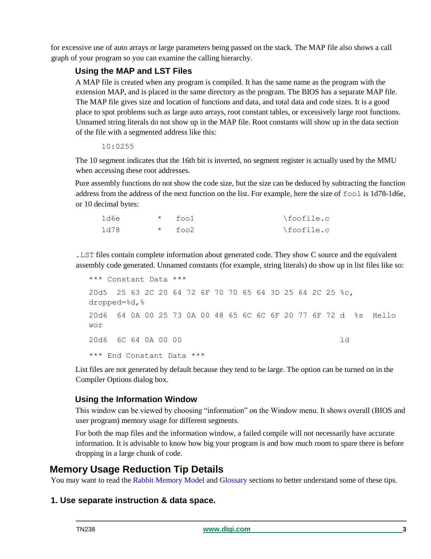for excessive use of auto arrays or large parameters being passed on the stack. The MAP file also shows a call graph of your program so you can examine the calling hierarchy.

# **Using the MAP and LST Files**

A MAP file is created when any program is compiled. It has the same name as the program with the extension MAP, and is placed in the same directory as the program. The BIOS has a separate MAP file. The MAP file gives size and location of functions and data, and total data and code sizes. It is a good place to spot problems such as large auto arrays, root constant tables, or excessively large root functions. Unnamed string literals do not show up in the MAP file. Root constants will show up in the data section of the file with a segmented address like this:

### 10:0255

The 10 segment indicates that the 16th bit is inverted, no segment register is actually used by the MMU when accessing these root addresses.

Pure assembly functions do not show the code size, but the size can be deduced by subtracting the function address from the address of the next function on the list. For example, here the size of foo1 is 1d78-1d6e, or 10 decimal bytes:

| 1d6e | $*$ fool | \foofile.c |
|------|----------|------------|
| 1d78 | $*$ foo2 | \foofile.c |

.LST files contain complete information about generated code. They show C source and the equivalent assembly code generated. Unnamed constants (for example, string literals) do show up in list files like so:

```
*** Constant Data ***
20d5 25 63 2C 20 64 72 6F 70 70 65 64 3D 25 64 2C 25 %c, 
dropped=%d,%
20d6 64 0A 00 25 73 0A 00 48 65 6C 6C 6F 20 77 6F 72 d %s Hello 
wor
20d6 6C 64 0A 00 00 ld
*** End Constant Data ***
```
List files are not generated by default because they tend to be large. The option can be turned on in the Compiler Options dialog box.

# **Using the Information Window**

This window can be viewed by choosing "information" on the Window menu. It shows overall (BIOS and user program) memory usage for different segments.

For both the map files and the information window, a failed compile will not necessarily have accurate information. It is advisable to know how big your program is and how much room to spare there is before dropping in a large chunk of code.

# **Memory Usage Reduction Tip Details**

You may want to read the Rabbit Memory Model and Glossary sections to better understand some of these tips.

# **1. Use separate instruction & data space.**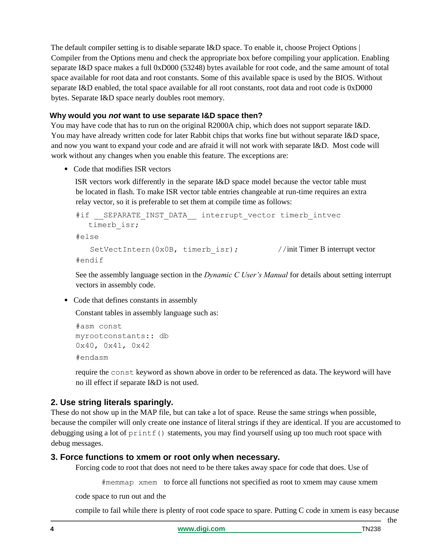The default compiler setting is to disable separate I&D space. To enable it, choose Project Options | Compiler from the Options menu and check the appropriate box before compiling your application. Enabling separate I&D space makes a full 0xD000 (53248) bytes available for root code, and the same amount of total space available for root data and root constants. Some of this available space is used by the BIOS. Without separate I&D enabled, the total space available for all root constants, root data and root code is 0xD000 bytes. Separate I&D space nearly doubles root memory.

### **Why would you** *not* **want to use separate I&D space then?**

You may have code that has to run on the original R2000A chip, which does not support separate I&D. You may have already written code for later Rabbit chips that works fine but without separate I&D space, and now you want to expand your code and are afraid it will not work with separate I&D. Most code will work without any changes when you enable this feature. The exceptions are:

**•** Code that modifies ISR vectors

ISR vectors work differently in the separate I&D space model because the vector table must be located in flash. To make ISR vector table entries changeable at run-time requires an extra relay vector, so it is preferable to set them at compile time as follows:

```
#if __SEPARATE_INST_DATA __ interrupt_vector_timerb_intvec
  timerb isr;
#else
   SetVectIntern(0x0B, timerb isr); //init Timer B interrupt vector
#endif
```
See the assembly language section in the *Dynamic C User's Manual* for details about setting interrupt vectors in assembly code.

**•** Code that defines constants in assembly

Constant tables in assembly language such as:

```
#asm const 
myrootconstants:: db 
0x40, 0x41, 0x42
#endasm
```
require the const keyword as shown above in order to be referenced as data. The keyword will have no ill effect if separate I&D is not used.

# **2. Use string literals sparingly.**

These do not show up in the MAP file, but can take a lot of space. Reuse the same strings when possible, because the compiler will only create one instance of literal strings if they are identical. If you are accustomed to debugging using a lot of printf() statements, you may find yourself using up too much root space with debug messages.

### **3. Force functions to xmem or root only when necessary.**

Forcing code to root that does not need to be there takes away space for code that does. Use of

#memmap xmem to force all functions not specified as root to xmem may cause xmem

code space to run out and the

compile to fail while there is plenty of root code space to spare. Putting C code in xmem is easy because

- the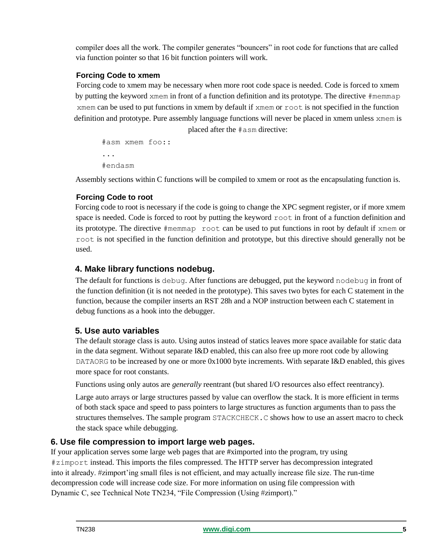compiler does all the work. The compiler generates "bouncers" in root code for functions that are called via function pointer so that 16 bit function pointers will work.

# **Forcing Code to xmem**

Forcing code to xmem may be necessary when more root code space is needed. Code is forced to xmem by putting the keyword xmem in front of a function definition and its prototype. The directive #memmap xmem can be used to put functions in xmem by default if xmem or root is not specified in the function definition and prototype. Pure assembly language functions will never be placed in xmem unless xmem is

```
placed after the #asm directive:
```

```
#asm xmem foo::
...
#endasm
```
Assembly sections within C functions will be compiled to xmem or root as the encapsulating function is.

## **Forcing Code to root**

Forcing code to root is necessary if the code is going to change the XPC segment register, or if more xmem space is needed. Code is forced to root by putting the keyword root in front of a function definition and its prototype. The directive #memmap root can be used to put functions in root by default if xmem or root is not specified in the function definition and prototype, but this directive should generally not be used.

# **4. Make library functions nodebug.**

The default for functions is debug. After functions are debugged, put the keyword nodebug in front of the function definition (it is not needed in the prototype). This saves two bytes for each C statement in the function, because the compiler inserts an RST 28h and a NOP instruction between each C statement in debug functions as a hook into the debugger.

# **5. Use auto variables**

The default storage class is auto. Using autos instead of statics leaves more space available for static data in the data segment. Without separate I&D enabled, this can also free up more root code by allowing DATAORG to be increased by one or more  $0x1000$  byte increments. With separate I&D enabled, this gives more space for root constants.

Functions using only autos are *generally* reentrant (but shared I/O resources also effect reentrancy).

Large auto arrays or large structures passed by value can overflow the stack. It is more efficient in terms of both stack space and speed to pass pointers to large structures as function arguments than to pass the structures themselves. The sample program STACKCHECK.C shows how to use an assert macro to check the stack space while debugging.

# **6. Use file compression to import large web pages.**

If your application serves some large web pages that are #ximported into the program, try using #zimport instead. This imports the files compressed. The HTTP server has decompression integrated into it already. #zimport'ing small files is not efficient, and may actually increase file size. The run-time decompression code will increase code size. For more information on using file compression with Dynamic C, see Technical Note TN234, "File Compression (Using #zimport)."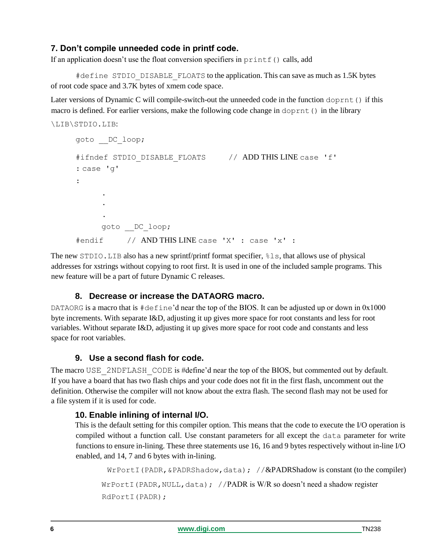# **7. Don't compile unneeded code in printf code.**

If an application doesn't use the float conversion specifiers in printf() calls, add

#define STDIO DISABLE FLOATS to the application. This can save as much as 1.5K bytes of root code space and 3.7K bytes of xmem code space.

Later versions of Dynamic C will compile-switch-out the unneeded code in the function doprnt() if this macro is defined. For earlier versions, make the following code change in doprnt() in the library

```
\LIB\STDIO.LIB:
```

```
goto __DC_loop;
#ifndef STDIO DISABLE FLOATS // ADD THIS LINE case 'f'
: case 'g' 
\bullet.
      . 
      .
     goto __DC_loop;
#endif // AND THIS LINE case 'X' : case 'x' :
```
The new STDIO.LIB also has a new sprintf/printf format specifier, %ls, that allows use of physical addresses for xstrings without copying to root first. It is used in one of the included sample programs. This new feature will be a part of future Dynamic C releases.

# **8. Decrease or increase the DATAORG macro.**

DATAORG is a macro that is  $\#$ define'd near the top of the BIOS. It can be adjusted up or down in 0x1000 byte increments. With separate I&D, adjusting it up gives more space for root constants and less for root variables. Without separate I&D, adjusting it up gives more space for root code and constants and less space for root variables.

# **9. Use a second flash for code.**

The macro USE\_2NDFLASH\_CODE is #define'd near the top of the BIOS, but commented out by default. If you have a board that has two flash chips and your code does not fit in the first flash, uncomment out the definition. Otherwise the compiler will not know about the extra flash. The second flash may not be used for a file system if it is used for code.

# **10. Enable inlining of internal I/O.**

This is the default setting for this compiler option. This means that the code to execute the I/O operation is compiled without a function call. Use constant parameters for all except the data parameter for write functions to ensure in-lining. These three statements use 16, 16 and 9 bytes respectively without in-line I/O enabled, and 14, 7 and 6 bytes with in-lining.

```
WrPortI(PADR, &PADRShadow, data); //\&PADRShadow is constant (to the compiler)
WrPortI(PADR, NULL, data); //PADR is W/R so doesn't need a shadow register
RdPortI(PADR);
```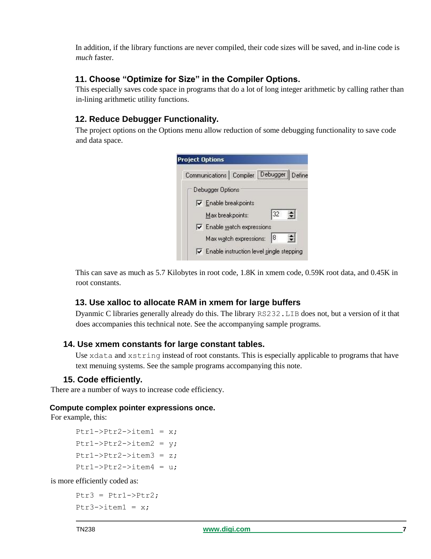In addition, if the library functions are never compiled, their code sizes will be saved, and in-line code is *much* faster.

# **11. Choose "Optimize for Size" in the Compiler Options.**

This especially saves code space in programs that do a lot of long integer arithmetic by calling rather than in-lining arithmetic utility functions.

# **12. Reduce Debugger Functionality.**

The project options on the Options menu allow reduction of some debugging functionality to save code and data space.

|                  |                                   | Communications   Compiler   Debugger     | Define           |
|------------------|-----------------------------------|------------------------------------------|------------------|
| Debugger Options |                                   |                                          |                  |
|                  | $\nabla$ Enable breakpoints       |                                          |                  |
| Max breakpoints: |                                   | 32                                       |                  |
|                  | $\nabla$ Enable watch expressions |                                          |                  |
|                  | Max watch expressions:            | 18                                       | $\blacktriangle$ |
|                  |                                   | Enable instruction level single stepping |                  |

This can save as much as 5.7 Kilobytes in root code, 1.8K in xmem code, 0.59K root data, and 0.45K in root constants.

# **13. Use xalloc to allocate RAM in xmem for large buffers**

Dyanmic C libraries generally already do this. The library RS232.LIB does not, but a version of it that does accompanies this technical note. See the accompanying sample programs.

### **14. Use xmem constants for large constant tables.**

Use xdata and xstring instead of root constants. This is especially applicable to programs that have text menuing systems. See the sample programs accompanying this note.

### **15. Code efficiently.**

There are a number of ways to increase code efficiency.

### **Compute complex pointer expressions once.**

For example, this:

```
Ptr1->Ptr2->item1 = x;Ptr1->Ptr2->item2 = y;Ptr1->Ptr2->item3 = z;Ptr1->Ptr2->item4 = u;
```
is more efficiently coded as:

```
Ptr3 = Ptr1->Ptr2;Ptr3->item1 = x;
```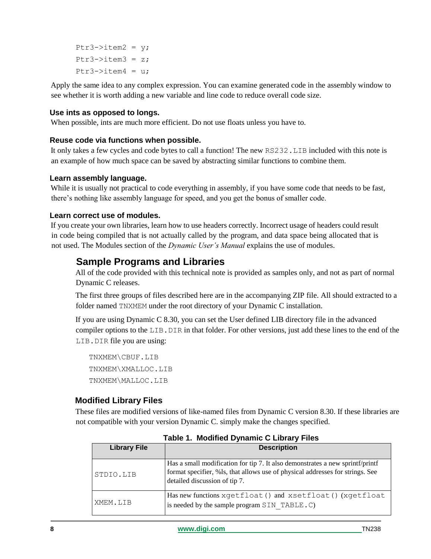$Ptr3->item2 = y;$  $Ptr3->item3 = z;$ Ptr3- $>$ item4 = u;

Apply the same idea to any complex expression. You can examine generated code in the assembly window to see whether it is worth adding a new variable and line code to reduce overall code size.

### **Use ints as opposed to longs.**

When possible, ints are much more efficient. Do not use floats unless you have to.

### **Reuse code via functions when possible.**

It only takes a few cycles and code bytes to call a function! The new RS232.LIB included with this note is an example of how much space can be saved by abstracting similar functions to combine them.

### **Learn assembly language.**

While it is usually not practical to code everything in assembly, if you have some code that needs to be fast, there's nothing like assembly language for speed, and you get the bonus of smaller code.

### **Learn correct use of modules.**

If you create your own libraries, learn how to use headers correctly. Incorrect usage of headers could result in code being compiled that is not actually called by the program, and data space being allocated that is not used. The Modules section of the *Dynamic User's Manual* explains the use of modules.

# **Sample Programs and Libraries**

All of the code provided with this technical note is provided as samples only, and not as part of normal Dynamic C releases.

The first three groups of files described here are in the accompanying ZIP file. All should extracted to a folder named TNXMEM under the root directory of your Dynamic C installation.

If you are using Dynamic C 8.30, you can set the User defined LIB directory file in the advanced compiler options to the LIB. DIR in that folder. For other versions, just add these lines to the end of the LIB.DIR file you are using:

TNXMEM\CBUF.LIB TNXMEM\XMALLOC.LIB TNXMEM\MALLOC.LIB

### **Modified Library Files**

These files are modified versions of like-named files from Dynamic C version 8.30. If these libraries are not compatible with your version Dynamic C. simply make the changes specified.

| <b>Library File</b> | <b>Description</b>                                                                                                                                                                              |
|---------------------|-------------------------------------------------------------------------------------------------------------------------------------------------------------------------------------------------|
| STDIO.LIB           | Has a small modification for tip 7. It also demonstrates a new sprintf/printf<br>format specifier, %ls, that allows use of physical addresses for strings. See<br>detailed discussion of tip 7. |
| XMEM.LIB            | Has new functions xgetfloat () and xsetfloat () (xgetfloat<br>is needed by the sample program $SIN$ TABLE. $C)$                                                                                 |

|  |  | Table 1. Modified Dynamic C Library Files |  |  |  |  |
|--|--|-------------------------------------------|--|--|--|--|
|--|--|-------------------------------------------|--|--|--|--|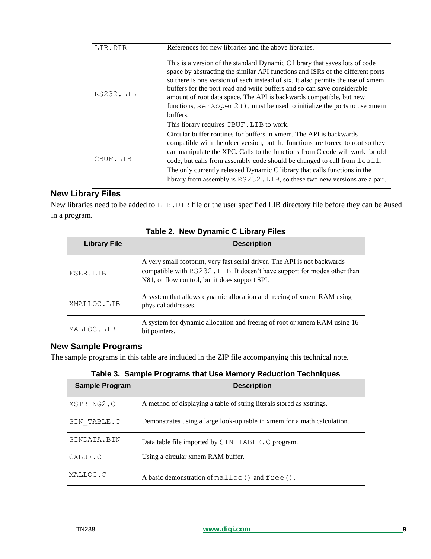| LIB.DIR   | References for new libraries and the above libraries.                                                                                                                                                                                                                                                                                                                                                                                                                                                                                      |
|-----------|--------------------------------------------------------------------------------------------------------------------------------------------------------------------------------------------------------------------------------------------------------------------------------------------------------------------------------------------------------------------------------------------------------------------------------------------------------------------------------------------------------------------------------------------|
| RS232.LIB | This is a version of the standard Dynamic C library that saves lots of code<br>space by abstracting the similar API functions and ISRs of the different ports<br>so there is one version of each instead of six. It also permits the use of xmem<br>buffers for the port read and write buffers and so can save considerable<br>amount of root data space. The API is backwards compatible, but new<br>functions, $serXopen2()$ , must be used to initialize the ports to use xmem<br>buffers.<br>This library requires CBUF. LIB to work. |
| CBUF.LIB  | Circular buffer routines for buffers in xmem. The API is backwards<br>compatible with the older version, but the functions are forced to root so they<br>can manipulate the XPC. Calls to the functions from C code will work for old<br>code, but calls from assembly code should be changed to call from $lcal$ .<br>The only currently released Dynamic C library that calls functions in the<br>library from assembly is RS232. LIB, so these two new versions are a pair.                                                             |

# **New Library Files**

New libraries need to be added to LIB. DIR file or the user specified LIB directory file before they can be #used in a program.

| <b>Library File</b> | <b>Description</b>                                                                                                                                                                                     |
|---------------------|--------------------------------------------------------------------------------------------------------------------------------------------------------------------------------------------------------|
| FSER.LIB            | A very small footprint, very fast serial driver. The API is not backwards<br>compatible with RS232.LIB. It doesn't have support for modes other than<br>N81, or flow control, but it does support SPI. |
| XMALLOC.LIB         | A system that allows dynamic allocation and freeing of xmem RAM using<br>physical addresses.                                                                                                           |
| MALLOC.LIB          | A system for dynamic allocation and freeing of root or xmem RAM using 16<br>bit pointers.                                                                                                              |

**Table 2. New Dynamic C Library Files**

# **New Sample Programs**

The sample programs in this table are included in the ZIP file accompanying this technical note.

**Table 3. Sample Programs that Use Memory Reduction Techniques**

| <b>Sample Program</b> | <b>Description</b>                                                       |
|-----------------------|--------------------------------------------------------------------------|
| XSTRING2.C            | A method of displaying a table of string literals stored as xstrings.    |
| SIN TABLE.C           | Demonstrates using a large look-up table in xmem for a math calculation. |
| SINDATA.BIN           | Data table file imported by SIN TABLE. C program.                        |
| CXBUF.C               | Using a circular xmem RAM buffer.                                        |
| MALLOC.C              | A basic demonstration of malloc() and free().                            |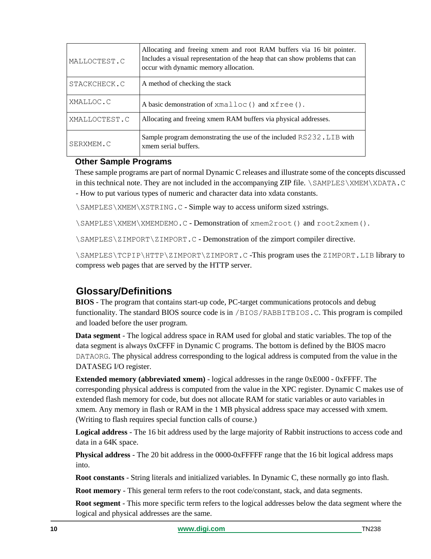| MALLOCTEST.C  | Allocating and freeing xmem and root RAM buffers via 16 bit pointer.<br>Includes a visual representation of the heap that can show problems that can<br>occur with dynamic memory allocation. |
|---------------|-----------------------------------------------------------------------------------------------------------------------------------------------------------------------------------------------|
| STACKCHECK.C  | A method of checking the stack                                                                                                                                                                |
| XMALLOC.C     | A basic demonstration of xmalloc() and xfree().                                                                                                                                               |
| XMALLOCTEST.C | Allocating and freeing xmem RAM buffers via physical addresses.                                                                                                                               |
| SERXMEM.C     | Sample program demonstrating the use of the included RS232. LIB with<br>xmem serial buffers.                                                                                                  |

# **Other Sample Programs**

These sample programs are part of normal Dynamic C releases and illustrate some of the concepts discussed in this technical note. They are not included in the accompanying ZIP file. \SAMPLES\XMEM\XDATA.C - How to put various types of numeric and character data into xdata constants.

\SAMPLES\XMEM\XSTRING.C - Simple way to access uniform sized xstrings.

\SAMPLES\XMEM\XMEMDEMO.C - Demonstration of xmem2root() and root2xmem().

\SAMPLES\ZIMPORT\ZIMPORT.C - Demonstration of the zimport compiler directive.

\SAMPLES\TCPIP\HTTP\ZIMPORT\ZIMPORT.C -This program uses the ZIMPORT.LIB library to compress web pages that are served by the HTTP server.

# **Glossary/Definitions**

**BIOS** - The program that contains start-up code, PC-target communications protocols and debug functionality. The standard BIOS source code is in /BIOS/RABBITBIOS.C. This program is compiled and loaded before the user program.

**Data segment** - The logical address space in RAM used for global and static variables. The top of the data segment is always 0xCFFF in Dynamic C programs. The bottom is defined by the BIOS macro DATAORG. The physical address corresponding to the logical address is computed from the value in the DATASEG I/O register.

**Extended memory (abbreviated xmem)** - logical addresses in the range 0xE000 - 0xFFFF. The corresponding physical address is computed from the value in the XPC register. Dynamic C makes use of extended flash memory for code, but does not allocate RAM for static variables or auto variables in xmem. Any memory in flash or RAM in the 1 MB physical address space may accessed with xmem. (Writing to flash requires special function calls of course.)

**Logical address** - The 16 bit address used by the large majority of Rabbit instructions to access code and data in a 64K space.

**Physical address** - The 20 bit address in the 0000-0xFFFFF range that the 16 bit logical address maps into.

**Root constants** - String literals and initialized variables. In Dynamic C, these normally go into flash.

**Root memory** - This general term refers to the root code/constant, stack, and data segments.

**Root segment** - This more specific term refers to the logical addresses below the data segment where the logical and physical addresses are the same.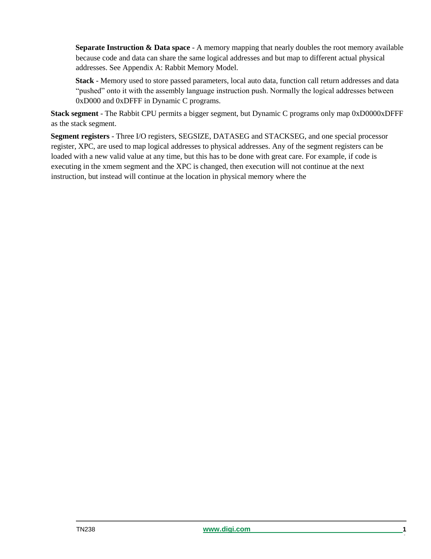**Separate Instruction & Data space** - A memory mapping that nearly doubles the root memory available because code and data can share the same logical addresses and but map to different actual physical addresses. See Appendix A: Rabbit Memory Model.

**Stack** - Memory used to store passed parameters, local auto data, function call return addresses and data "pushed" onto it with the assembly language instruction push. Normally the logical addresses between 0xD000 and 0xDFFF in Dynamic C programs.

**Stack segment** - The Rabbit CPU permits a bigger segment, but Dynamic C programs only map 0xD0000xDFFF as the stack segment.

**Segment registers** - Three I/O registers, SEGSIZE, DATASEG and STACKSEG, and one special processor register, XPC, are used to map logical addresses to physical addresses. Any of the segment registers can be loaded with a new valid value at any time, but this has to be done with great care. For example, if code is executing in the xmem segment and the XPC is changed, then execution will not continue at the next instruction, but instead will continue at the location in physical memory where the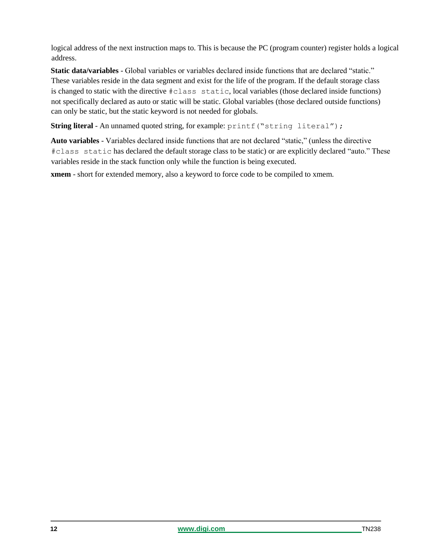logical address of the next instruction maps to. This is because the PC (program counter) register holds a logical address.

**Static data/variables** - Global variables or variables declared inside functions that are declared "static." These variables reside in the data segment and exist for the life of the program. If the default storage class is changed to static with the directive #class static, local variables (those declared inside functions) not specifically declared as auto or static will be static. Global variables (those declared outside functions) can only be static, but the static keyword is not needed for globals.

**String literal** - An unnamed quoted string, for example:  $print$  ("string literal");

**Auto variables** - Variables declared inside functions that are not declared "static," (unless the directive #class static has declared the default storage class to be static) or are explicitly declared "auto." These variables reside in the stack function only while the function is being executed.

**xmem** - short for extended memory, also a keyword to force code to be compiled to xmem.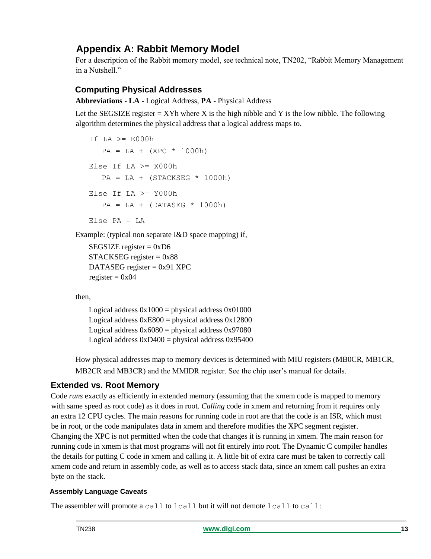# **Appendix A: Rabbit Memory Model**

For a description of the Rabbit memory model, see technical note, TN202, "Rabbit Memory Management in a Nutshell."

# **Computing Physical Addresses**

**Abbreviations** - **LA** - Logical Address, **PA** - Physical Address

Let the SEGSIZE register  $=$  XYh where X is the high nibble and Y is the low nibble. The following algorithm determines the physical address that a logical address maps to.

```
If LA >= E000h
  PA = LA + (XPC * 1000h)Else If LA \geq X000hPA = LA + (STACKSEG * 1000h)Else If LA \ge 1000hPA = LA + (DATASEG * 1000h)Else PA = LA
```
Example: (typical non separate I&D space mapping) if,

```
SEGSIZE register = 0xD6
STACKSEG register = 0x88
DATASEG register = 0x91 XPC 
register = 0x04
```
then,

Logical address  $0x1000 =$  physical address  $0x01000$ Logical address  $0xE800 =$  physical address  $0x12800$ Logical address  $0x6080 =$  physical address  $0x97080$ Logical address  $0xD400 =$  physical address  $0x95400$ 

How physical addresses map to memory devices is determined with MIU registers (MB0CR, MB1CR, MB2CR and MB3CR) and the MMIDR register. See the chip user's manual for details.

# **Extended vs. Root Memory**

Code *runs* exactly as efficiently in extended memory (assuming that the xmem code is mapped to memory with same speed as root code) as it does in root. *Calling* code in xmem and returning from it requires only an extra 12 CPU cycles. The main reasons for running code in root are that the code is an ISR, which must be in root, or the code manipulates data in xmem and therefore modifies the XPC segment register. Changing the XPC is not permitted when the code that changes it is running in xmem. The main reason for running code in xmem is that most programs will not fit entirely into root. The Dynamic C compiler handles the details for putting C code in xmem and calling it. A little bit of extra care must be taken to correctly call xmem code and return in assembly code, as well as to access stack data, since an xmem call pushes an extra byte on the stack.

# **Assembly Language Caveats**

The assembler will promote a call to lcall but it will not demote lcall to call: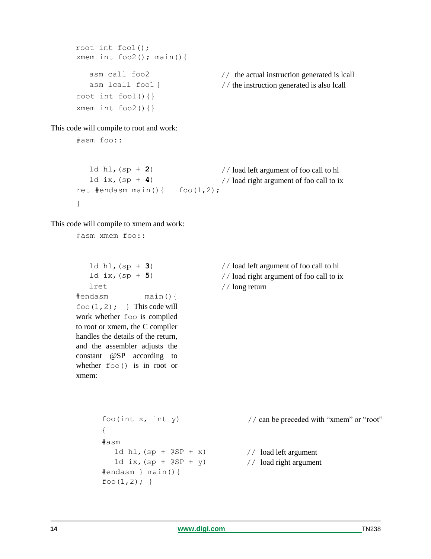```
root int foo1(); 
xmem int foo2(); main(){
   asm lcall foo1 } 
root int foo1() { }
xmem int foo2() { }
```
asm call foo2 // the actual instruction generated is lcall // the instruction generated is also lcall

This code will compile to root and work:

#asm foo::

```
ld hl, (sp + 2) // load left argument of foo call to hl
   ld ix, (sp + 4)
ret #endasm main(){ f \circ (1,2);
}
                                    // load right argument of foo call to ix
```
This code will compile to xmem and work:

#asm xmem foo::

```
lret
#endasm main(){ 
f \circ \circ (1, 2); } This code will
work whether foo is compiled 
to root or xmem, the C compiler 
handles the details of the return, 
and the assembler adjusts the 
constant @SP according to 
whether foo() is in root or 
xmem:
```
foo $(int x, int y)$ 

#endasm } main(){

foo $(1,2);$ 

ld ix,  $(sp + @SP + y)$ 

{ #asm

ld hl,(sp + **3**) // load left argument of foo call to hl ld  $ix, (sp + 5)$  // load right argument of foo call to ix // long return

```
// can be preceded with "xmem" or "root"
```
1d hl,  $(sp + @SP + x)$  // load left argument

// load right argument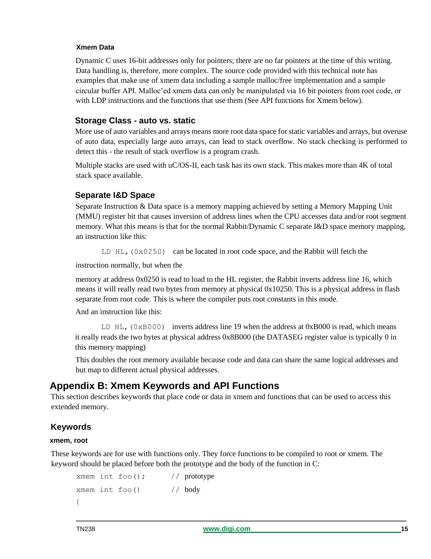### **Xmem Data**

Dynamic C uses 16-bit addresses only for pointers; there are no far pointers at the time of this writing. Data handling is, therefore, more complex. The source code provided with this technical note has examples that make use of xmem data including a sample malloc/free implementation and a sample circular buffer API. Malloc'ed xmem data can only be manipulated via 16 bit pointers from root code, or with LDP instructions and the functions that use them (See API functions for Xmem below).

## **Storage Class - auto vs. static**

More use of auto variables and arrays means more root data space for static variables and arrays, but overuse of auto data, especially large auto arrays, can lead to stack overflow. No stack checking is performed to detect this - the result of stack overflow is a program crash.

Multiple stacks are used with uC/OS-II, each task has its own stack. This makes more than 4K of total stack space available.

# **Separate I&D Space**

Separate Instruction & Data space is a memory mapping achieved by setting a Memory Mapping Unit (MMU) register bit that causes inversion of address lines when the CPU accesses data and/or root segment memory. What this means is that for the normal Rabbit/Dynamic C separate I&D space memory mapping, an instruction like this:

LD HL,  $(0 \times 0250)$  can be located in root code space, and the Rabbit will fetch the

instruction normally, but when the

memory at address 0x0250 is read to load to the HL register, the Rabbit inverts address line 16, which means it will really read two bytes from memory at physical 0x10250. This is a physical address in flash separate from root code. This is where the compiler puts root constants in this mode.

And an instruction like this:

LD  $HL$ , (0xB000) inverts address line 19 when the address at 0xB000 is read, which means it really reads the two bytes at physical address 0x8B000 (the DATASEG register value is typically 0 in this memory mapping)

This doubles the root memory available because code and data can share the same logical addresses and but map to different actual physical addresses.

# **Appendix B: Xmem Keywords and API Functions**

This section describes keywords that place code or data in xmem and functions that can be used to access this extended memory.

# **Keywords**

### **xmem, root**

These keywords are for use with functions only. They force functions to be compiled to root or xmem. The keyword should be placed before both the prototype and the body of the function in C:

```
xmem int foo(); // prototype
xmem int foo() // body
{
```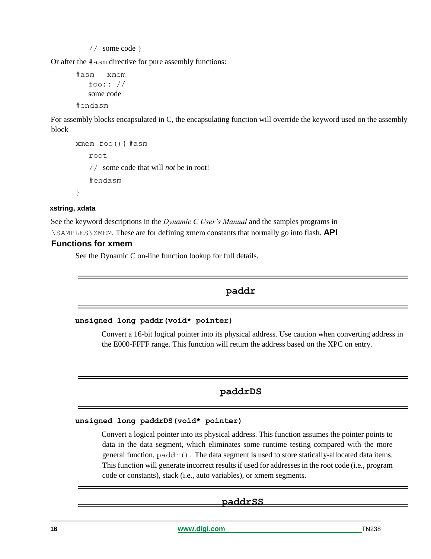// some code }

Or after the #asm directive for pure assembly functions:

```
#asm xmem 
   foo:: // 
   some code 
#endasm
```
For assembly blocks encapsulated in C, the encapsulating function will override the keyword used on the assembly block

```
xmem foo(){ #asm 
   root
   // some code that will not be in root! 
   #endasm
}
```
### **xstring, xdata**

See the keyword descriptions in the *Dynamic C User's Manual* and the samples programs in

\SAMPLES\XMEM. These are for defining xmem constants that normally go into flash. **API** 

### **Functions for xmem**

See the Dynamic C on-line function lookup for full details.

# **paddr**

### **unsigned long paddr(void\* pointer)**

Convert a 16-bit logical pointer into its physical address. Use caution when converting address in the E000-FFFF range. This function will return the address based on the XPC on entry.

# **paddrDS**

### **unsigned long paddrDS(void\* pointer)**

Convert a logical pointer into its physical address. This function assumes the pointer points to data in the data segment, which eliminates some runtime testing compared with the more general function, paddr(). The data segment is used to store statically-allocated data items. This function will generate incorrect results if used for addresses in the root code (i.e., program code or constants), stack (i.e., auto variables), or xmem segments.

### **paddrSS**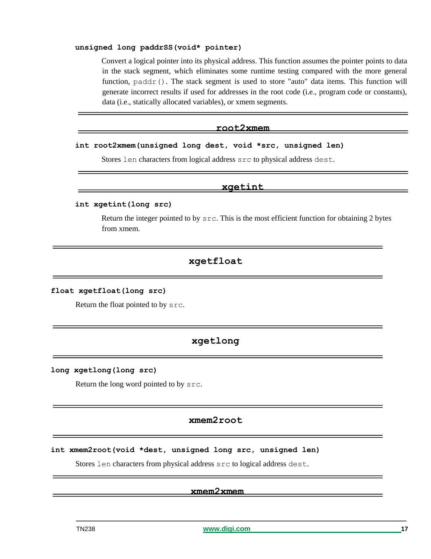### **unsigned long paddrSS(void\* pointer)**

Convert a logical pointer into its physical address. This function assumes the pointer points to data in the stack segment, which eliminates some runtime testing compared with the more general function,  $\text{paddr}()$ . The stack segment is used to store "auto" data items. This function will generate incorrect results if used for addresses in the root code (i.e., program code or constants), data (i.e., statically allocated variables), or xmem segments.

### **root2xmem**

### **int root2xmem(unsigned long dest, void \*src, unsigned len)**

Stores len characters from logical address src to physical address dest.

### **xgetint**

### **int xgetint(long src)**

Return the integer pointed to by  $src$ . This is the most efficient function for obtaining 2 bytes from xmem.

### **xgetfloat**

### **float xgetfloat(long src)**

Return the float pointed to by src.

# **xgetlong**

#### **long xgetlong(long src)**

Return the long word pointed to by src.

### **xmem2root**

**int xmem2root(void \*dest, unsigned long src, unsigned len)**

Stores len characters from physical address src to logical address dest.

### **xmem2xmem**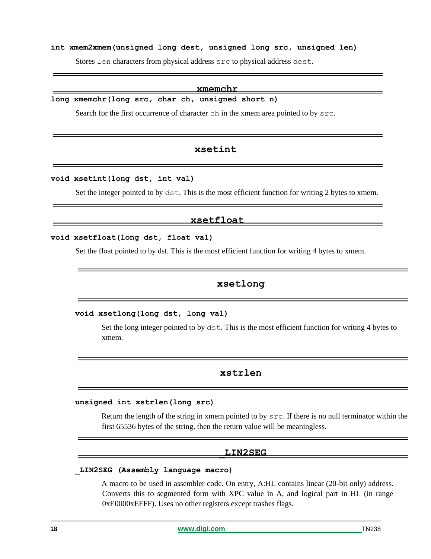### **int xmem2xmem(unsigned long dest, unsigned long src, unsigned len)**

Stores len characters from physical address src to physical address dest.

#### **xmemchr**

**long xmemchr(long src, char ch, unsigned short n)** 

Search for the first occurrence of character ch in the xmem area pointed to by  $src$ .

### **xsetint**

### **void xsetint(long dst, int val)**

Set the integer pointed to by  $dst$ . This is the most efficient function for writing 2 bytes to xmem.

#### **xsetfloat**

#### **void xsetfloat(long dst, float val)**

Set the float pointed to by dst. This is the most efficient function for writing 4 bytes to xmem.

### **xsetlong**

#### **void xsetlong(long dst, long val)**

Set the long integer pointed to by dst. This is the most efficient function for writing 4 bytes to xmem.

### **xstrlen**

#### **unsigned int xstrlen(long src)**

Return the length of the string in xmem pointed to by  $src$ . If there is no null terminator within the first 65536 bytes of the string, then the return value will be meaningless.

#### **\_LIN2SEG**

### **\_LIN2SEG (Assembly language macro)**

A macro to be used in assembler code. On entry, A:HL contains linear (20-bit only) address. Converts this to segmented form with XPC value in A, and logical part in HL (in range 0xE0000xEFFF). Uses no other registers except trashes flags.